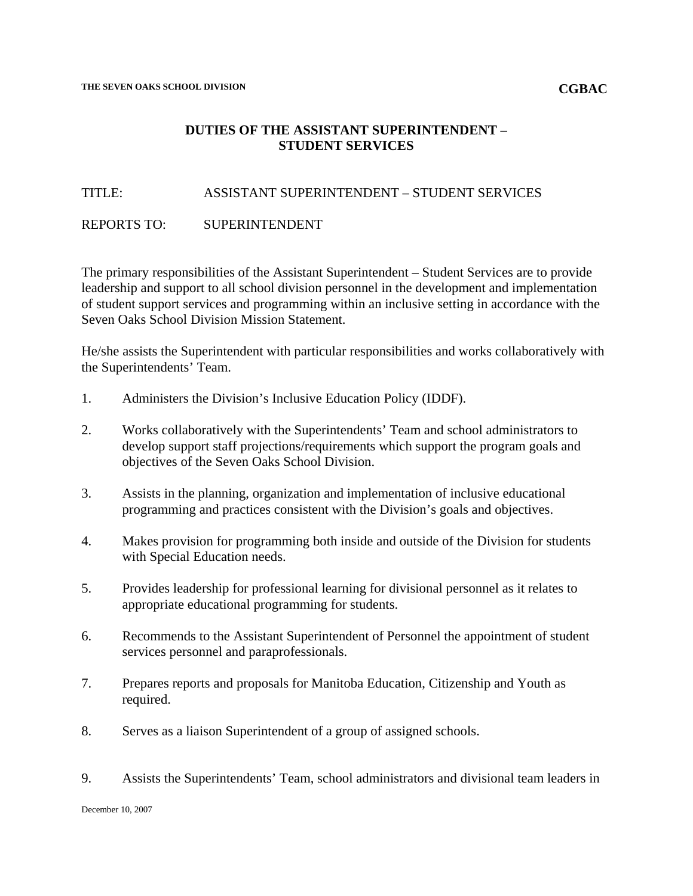#### **CGBAC**

# **DUTIES OF THE ASSISTANT SUPERINTENDENT – STUDENT SERVICES**

### TITLE: ASSISTANT SUPERINTENDENT – STUDENT SERVICES

## REPORTS TO: SUPERINTENDENT

The primary responsibilities of the Assistant Superintendent – Student Services are to provide leadership and support to all school division personnel in the development and implementation of student support services and programming within an inclusive setting in accordance with the Seven Oaks School Division Mission Statement.

He/she assists the Superintendent with particular responsibilities and works collaboratively with the Superintendents' Team.

- 1. Administers the Division's Inclusive Education Policy (IDDF).
- 2. Works collaboratively with the Superintendents' Team and school administrators to develop support staff projections/requirements which support the program goals and objectives of the Seven Oaks School Division.
- 3. Assists in the planning, organization and implementation of inclusive educational programming and practices consistent with the Division's goals and objectives.
- 4. Makes provision for programming both inside and outside of the Division for students with Special Education needs.
- 5. Provides leadership for professional learning for divisional personnel as it relates to appropriate educational programming for students.
- 6. Recommends to the Assistant Superintendent of Personnel the appointment of student services personnel and paraprofessionals.
- 7. Prepares reports and proposals for Manitoba Education, Citizenship and Youth as required.
- 8. Serves as a liaison Superintendent of a group of assigned schools.
- 9. Assists the Superintendents' Team, school administrators and divisional team leaders in